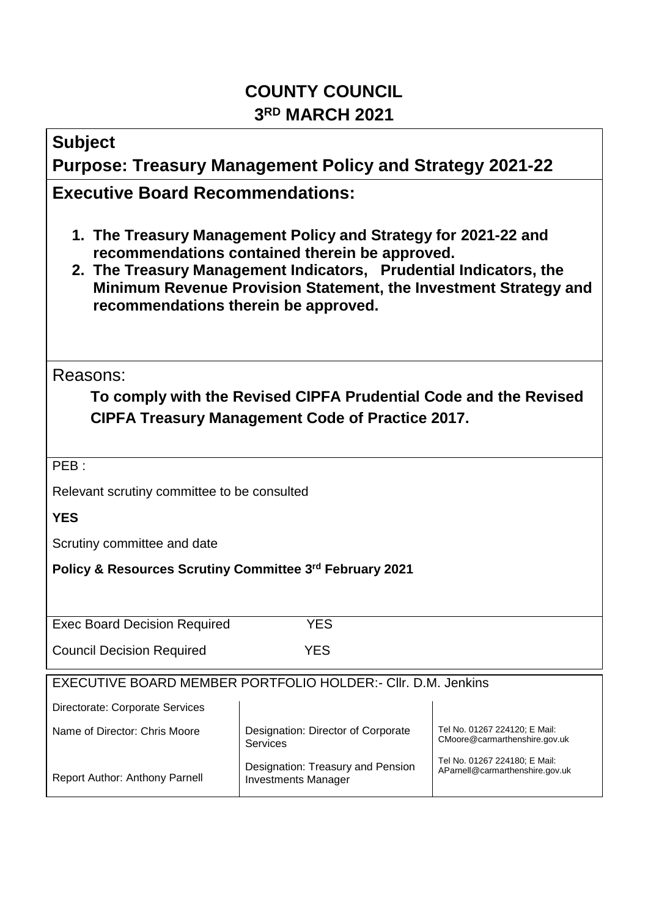## **COUNTY COUNCIL 3 RD MARCH 2021**

| <b>Subject</b>                                                                                                                                                                                                                                                                                    |                                                                                                                                     |  |  |  |  |  |  |
|---------------------------------------------------------------------------------------------------------------------------------------------------------------------------------------------------------------------------------------------------------------------------------------------------|-------------------------------------------------------------------------------------------------------------------------------------|--|--|--|--|--|--|
| <b>Purpose: Treasury Management Policy and Strategy 2021-22</b>                                                                                                                                                                                                                                   |                                                                                                                                     |  |  |  |  |  |  |
| <b>Executive Board Recommendations:</b>                                                                                                                                                                                                                                                           |                                                                                                                                     |  |  |  |  |  |  |
| 1. The Treasury Management Policy and Strategy for 2021-22 and<br>recommendations contained therein be approved.<br>2. The Treasury Management Indicators, Prudential Indicators, the<br>Minimum Revenue Provision Statement, the Investment Strategy and<br>recommendations therein be approved. |                                                                                                                                     |  |  |  |  |  |  |
| Reasons:                                                                                                                                                                                                                                                                                          |                                                                                                                                     |  |  |  |  |  |  |
| To comply with the Revised CIPFA Prudential Code and the Revised                                                                                                                                                                                                                                  |                                                                                                                                     |  |  |  |  |  |  |
| <b>CIPFA Treasury Management Code of Practice 2017.</b>                                                                                                                                                                                                                                           |                                                                                                                                     |  |  |  |  |  |  |
|                                                                                                                                                                                                                                                                                                   |                                                                                                                                     |  |  |  |  |  |  |
| PEB:                                                                                                                                                                                                                                                                                              |                                                                                                                                     |  |  |  |  |  |  |
| Relevant scrutiny committee to be consulted<br><b>YES</b>                                                                                                                                                                                                                                         |                                                                                                                                     |  |  |  |  |  |  |
|                                                                                                                                                                                                                                                                                                   |                                                                                                                                     |  |  |  |  |  |  |
| Scrutiny committee and date<br>Policy & Resources Scrutiny Committee 3rd February 2021                                                                                                                                                                                                            |                                                                                                                                     |  |  |  |  |  |  |
|                                                                                                                                                                                                                                                                                                   |                                                                                                                                     |  |  |  |  |  |  |
|                                                                                                                                                                                                                                                                                                   |                                                                                                                                     |  |  |  |  |  |  |
| <b>YES</b><br><b>Exec Board Decision Required</b>                                                                                                                                                                                                                                                 |                                                                                                                                     |  |  |  |  |  |  |
| <b>YES</b><br><b>Council Decision Required</b>                                                                                                                                                                                                                                                    |                                                                                                                                     |  |  |  |  |  |  |
| EXECUTIVE BOARD MEMBER PORTFOLIO HOLDER:- CIIr. D.M. Jenkins                                                                                                                                                                                                                                      |                                                                                                                                     |  |  |  |  |  |  |
| Directorate: Corporate Services                                                                                                                                                                                                                                                                   |                                                                                                                                     |  |  |  |  |  |  |
| Name of Director: Chris Moore                                                                                                                                                                                                                                                                     | Tel No. 01267 224120; E Mail:<br>Designation: Director of Corporate<br>CMoore@carmarthenshire.gov.uk<br><b>Services</b>             |  |  |  |  |  |  |
| Report Author: Anthony Parnell                                                                                                                                                                                                                                                                    | Tel No. 01267 224180; E Mail:<br>Designation: Treasury and Pension<br>AParnell@carmarthenshire.gov.uk<br><b>Investments Manager</b> |  |  |  |  |  |  |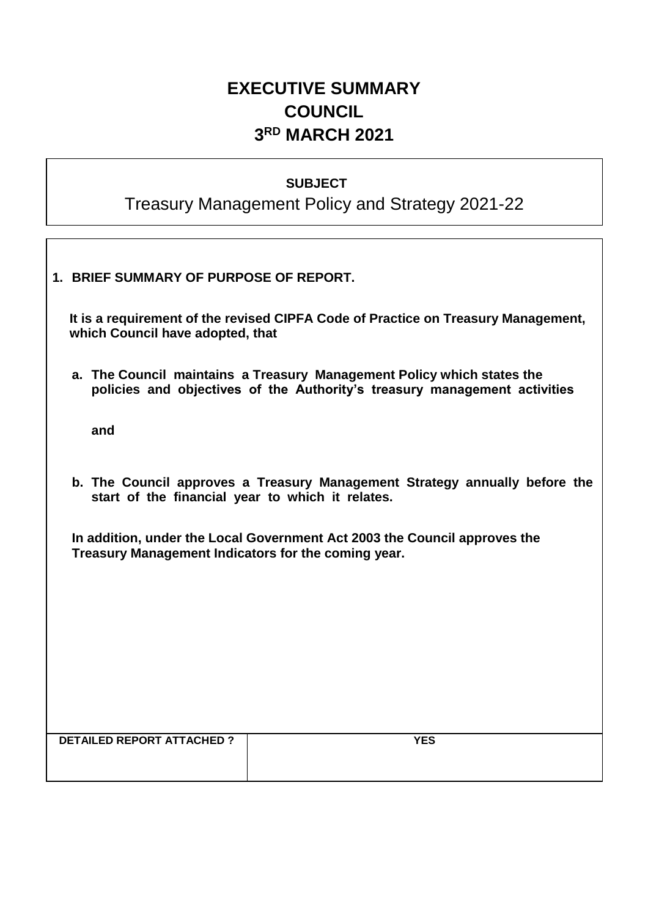## **EXECUTIVE SUMMARY COUNCIL 3 RD MARCH 2021**

#### **SUBJECT**

# Treasury Management Policy and Strategy 2021-22

| 1. BRIEF SUMMARY OF PURPOSE OF REPORT.                                                                                                              |  |  |  |  |
|-----------------------------------------------------------------------------------------------------------------------------------------------------|--|--|--|--|
| It is a requirement of the revised CIPFA Code of Practice on Treasury Management,<br>which Council have adopted, that                               |  |  |  |  |
| a. The Council maintains a Treasury Management Policy which states the<br>policies and objectives of the Authority's treasury management activities |  |  |  |  |
| and                                                                                                                                                 |  |  |  |  |
| b. The Council approves a Treasury Management Strategy annually before the<br>start of the financial year to which it relates.                      |  |  |  |  |
| In addition, under the Local Government Act 2003 the Council approves the<br>Treasury Management Indicators for the coming year.                    |  |  |  |  |
|                                                                                                                                                     |  |  |  |  |
|                                                                                                                                                     |  |  |  |  |
|                                                                                                                                                     |  |  |  |  |
| <b>DETAILED REPORT ATTACHED?</b><br><b>YES</b>                                                                                                      |  |  |  |  |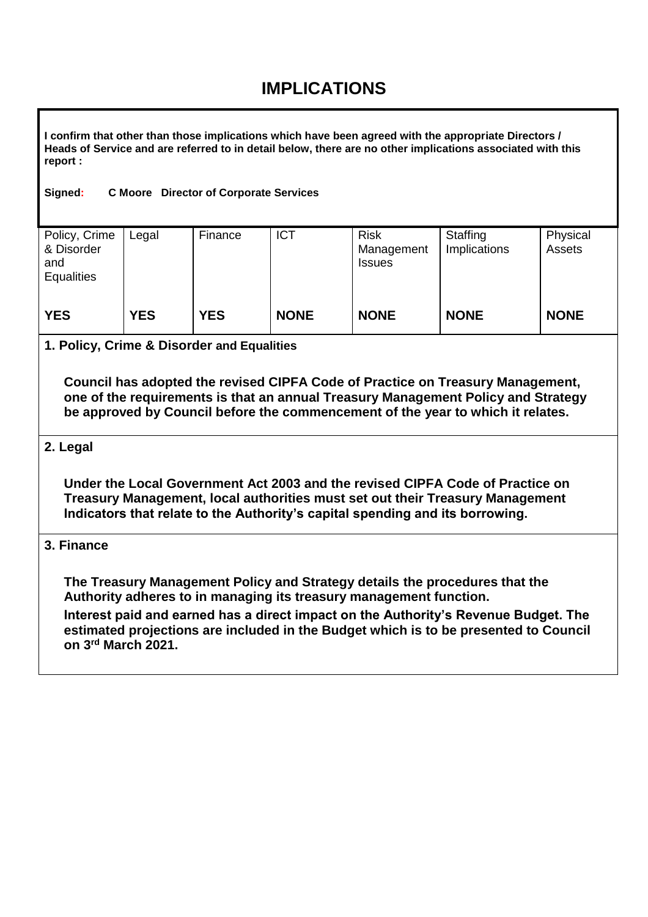## **IMPLICATIONS**

**I confirm that other than those implications which have been agreed with the appropriate Directors / Heads of Service and are referred to in detail below, there are no other implications associated with this report :**

#### **Signed: C Moore Director of Corporate Services**

| Policy, Crime<br>& Disorder<br>and<br><b>Equalities</b> | Legal      | Finance    | <b>ICT</b>  | <b>Risk</b><br>Management<br><b>Issues</b> | Staffing<br>Implications | Physical<br>Assets |
|---------------------------------------------------------|------------|------------|-------------|--------------------------------------------|--------------------------|--------------------|
| <b>YES</b>                                              | <b>YES</b> | <b>YES</b> | <b>NONE</b> | <b>NONE</b>                                | <b>NONE</b>              | <b>NONE</b>        |

#### **1. Policy, Crime & Disorder and Equalities**

**Council has adopted the revised CIPFA Code of Practice on Treasury Management, one of the requirements is that an annual Treasury Management Policy and Strategy be approved by Council before the commencement of the year to which it relates.** 

#### **2. Legal**

**Under the Local Government Act 2003 and the revised CIPFA Code of Practice on Treasury Management, local authorities must set out their Treasury Management Indicators that relate to the Authority's capital spending and its borrowing.** 

#### **3. Finance**

**The Treasury Management Policy and Strategy details the procedures that the Authority adheres to in managing its treasury management function.**

**Interest paid and earned has a direct impact on the Authority's Revenue Budget. The estimated projections are included in the Budget which is to be presented to Council on 3 rd March 2021.**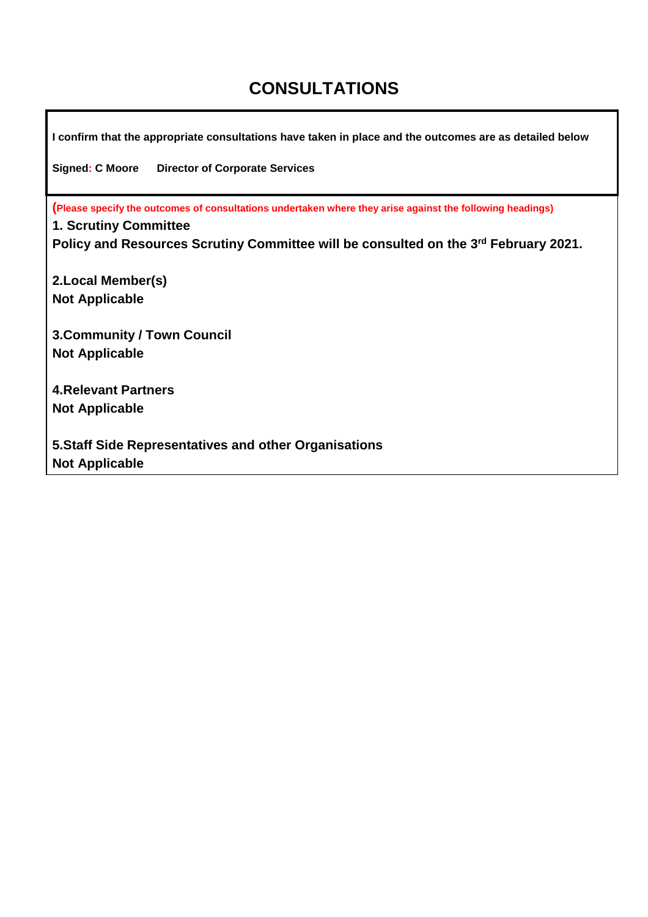### **CONSULTATIONS**

**I confirm that the appropriate consultations have taken in place and the outcomes are as detailed below Signed: C Moore Director of Corporate Services (Please specify the outcomes of consultations undertaken where they arise against the following headings) 1. Scrutiny Committee Policy and Resources Scrutiny Committee will be consulted on the 3 rd February 2021. 2.Local Member(s) Not Applicable 3.Community / Town Council Not Applicable 4.Relevant Partners Not Applicable 5.Staff Side Representatives and other Organisations Not Applicable**